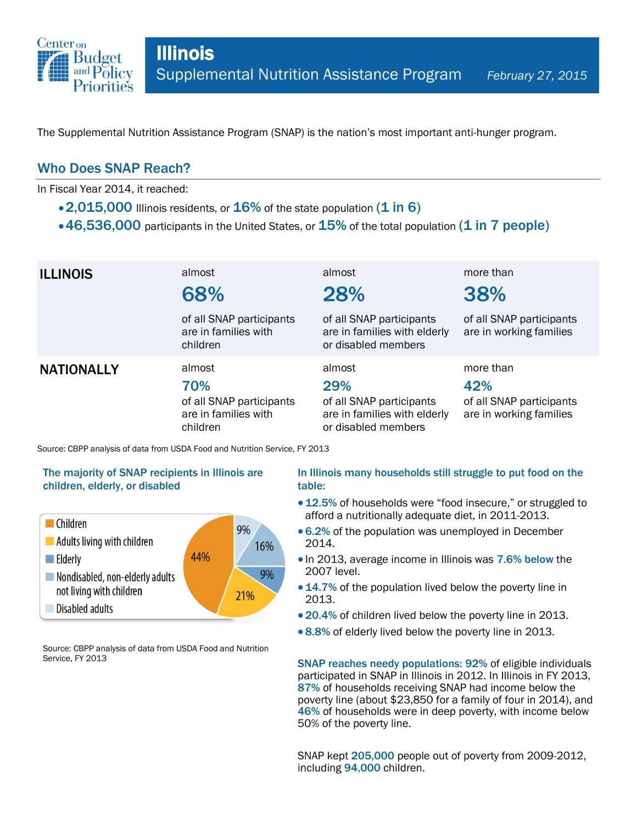

The Supplemental Nutrition Assistance Program (SNAP) is the nation's most important anti-hunger program.

## Who Does SNAP Reach?

In Fiscal Year 2014, it reached:

- $\cdot$  2,015,000 Illinois residents, or  $16\%$  of the state population (1 in 6)
- $\cdot$  46,536,000 participants in the United States, or  $15\%$  of the total population (1 in 7 people)

| <b>ILLINOIS</b>   | almost<br>68%                                                                 | almost<br>28%                                                                                    | more than<br>38%                                                        |
|-------------------|-------------------------------------------------------------------------------|--------------------------------------------------------------------------------------------------|-------------------------------------------------------------------------|
|                   | of all SNAP participants<br>are in families with<br>children                  | of all SNAP participants<br>are in families with elderly<br>or disabled members                  | of all SNAP participants<br>are in working families                     |
| <b>NATIONALLY</b> | almost<br>70%<br>of all SNAP participants<br>are in families with<br>children | almost<br>29%<br>of all SNAP participants<br>are in families with elderly<br>or disabled members | more than<br>42%<br>of all SNAP participants<br>are in working families |

Source: CBPP analysis of data from USDA Food and Nutrition Service, FY 2013

### The majority of SNAP recipients in Illinois are children, elderly, or disabled



Source: CBPP analysis of data from USDA Food and Nutrition Service, FY 2013

### In Illinois many households still struggle to put food on the table:

- 12.5% of households were "food insecure," or struggled to afford a nutritionally adequate diet, in 2011-2013.
- 6.2% of the population was unemployed in December 2014.
- In 2013, average income in Illinois was 7.6% below the 2007 level.
- 14.7% of the population lived below the poverty line in 2013.
- 20.4% of children lived below the poverty line in 2013.
- 8.8% of elderly lived below the poverty line in 2013.

SNAP reaches needy populations: 92% of eligible individuals participated in SNAP in Illinois in 2012. In Illinois in FY 2013, 87% of households receiving SNAP had income below the poverty line (about \$23,850 for a family of four in 2014), and 46% of households were in deep poverty, with income below 50% of the poverty line.

SNAP kept 205,000 people out of poverty from 2009-2012, including 94,000 children.